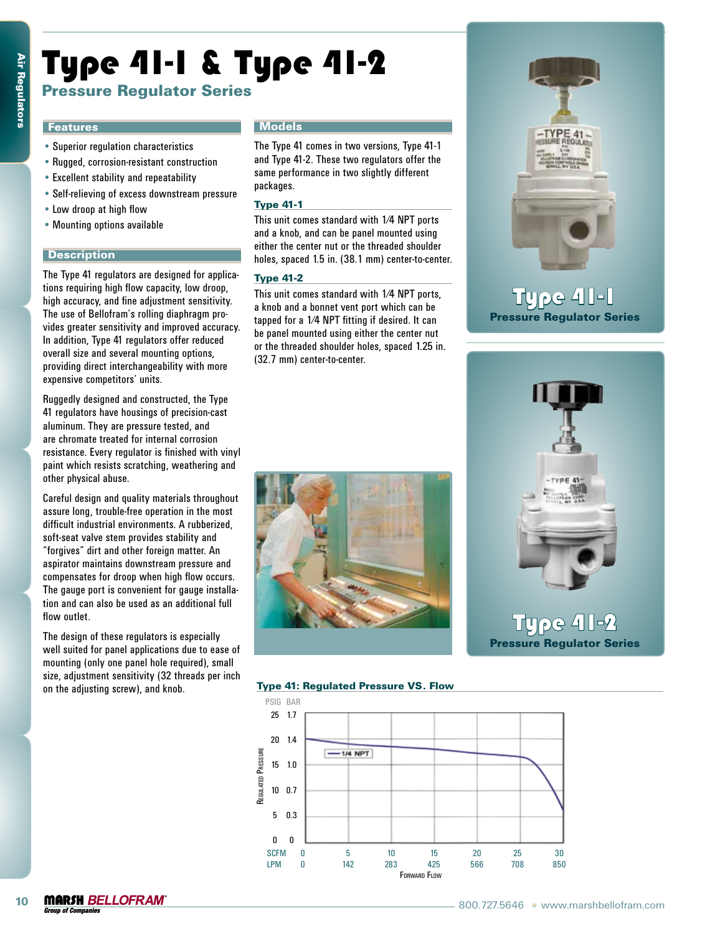# Type 41-1 & Type 41-2

# Pressure Regulator Series

#### **Features**

- Superior regulation characteristics
- • Rugged, corrosion-resistant construction
- • Excellent stability and repeatability
- • Self-relieving of excess downstream pressure
- • Low droop at high flow
- • Mounting options available

#### **Description**

The Type 41 regulators are designed for applications requiring high flow capacity, low droop, high accuracy, and fine adjustment sensitivity. The use of Bellofram's rolling diaphragm provides greater sensitivity and improved accuracy. In addition, Type 41 regulators offer reduced overall size and several mounting options, providing direct interchangeability with more expensive competitors' units.

Ruggedly designed and constructed, the Type 41 regulators have housings of precision-cast aluminum. They are pressure tested, and are chromate treated for internal corrosion resistance. Every regulator is finished with vinyl paint which resists scratching, weathering and other physical abuse.

Careful design and quality materials throughout assure long, trouble-free operation in the most difficult industrial environments. A rubberized, soft-seat valve stem provides stability and "forgives" dirt and other foreign matter. An aspirator maintains downstream pressure and compensates for droop when high flow occurs. The gauge port is convenient for gauge installation and can also be used as an additional full flow outlet.

The design of these regulators is especially well suited for panel applications due to ease of mounting (only one panel hole required), small size, adjustment sensitivity (32 threads per inch on the adjusting screw), and knob.

#### **Models**

The Type 41 comes in two versions, Type 41-1 and Type 41-2. These two regulators offer the same performance in two slightly different packages.

#### Type 41-1

This unit comes standard with 1⁄4 NPT ports and a knob, and can be panel mounted using either the center nut or the threaded shoulder holes, spaced 1.5 in. (38.1 mm) center-to-center.

#### Type 41-2

This unit comes standard with 1⁄4 NPT ports, a knob and a bonnet vent port which can be tapped for a 1⁄4 NPT fitting if desired. It can be panel mounted using either the center nut or the threaded shoulder holes, spaced 1.25 in. (32.7 mm) center-to-center.



# **Type 41-1** Pressure Regulator Series